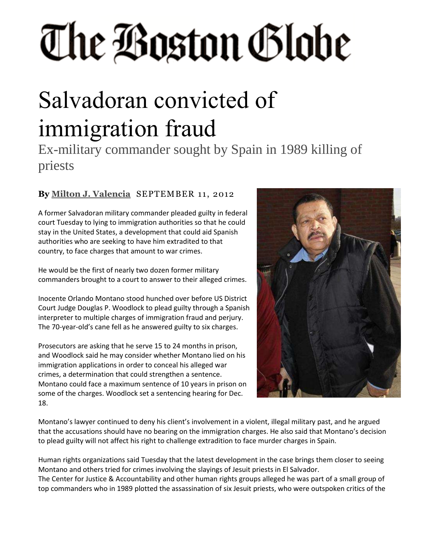## The Boston Globe

## Salvadoran convicted of immigration fraud

Ex-military commander sought by Spain in 1989 killing of priests

## **By Milton J. [Valencia](http://bostonglobe.com/staff/valencia)** SEPTEMBER 11, 2012

A former Salvadoran military commander pleaded guilty in federal court Tuesday to lying to immigration authorities so that he could stay in the United States, a development that could aid Spanish authorities who are seeking to have him extradited to that country, to face charges that amount to war crimes.

He would be the first of nearly two dozen former military commanders brought to a court to answer to their alleged crimes.

Inocente Orlando Montano stood hunched over before US District Court Judge Douglas P. Woodlock to plead guilty through a Spanish interpreter to multiple charges of immigration fraud and perjury. The 70-year-old's cane fell as he answered guilty to six charges.

Prosecutors are asking that he serve 15 to 24 months in prison, and Woodlock said he may consider whether Montano lied on his immigration applications in order to conceal his alleged war crimes, a determination that could strengthen a sentence. Montano could face a maximum sentence of 10 years in prison on some of the charges. Woodlock set a sentencing hearing for Dec. 18.



Montano's lawyer continued to deny his client's involvement in a violent, illegal military past, and he argued that the accusations should have no bearing on the immigration charges. He also said that Montano's decision to plead guilty will not affect his right to challenge extradition to face murder charges in Spain.

Human rights organizations said Tuesday that the latest development in the case brings them closer to seeing Montano and others tried for crimes involving the slayings of Jesuit priests in El Salvador. The Center for Justice & Accountability and other human rights groups alleged he was part of a small group of top commanders who in 1989 plotted the assassination of six Jesuit priests, who were outspoken critics of the